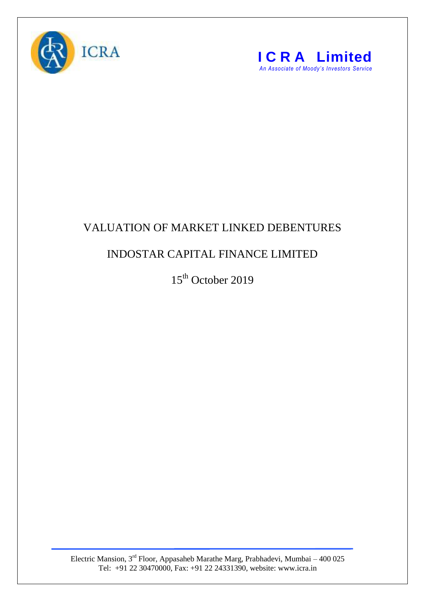



## VALUATION OF MARKET LINKED DEBENTURES

## INDOSTAR CAPITAL FINANCE LIMITED

15<sup>th</sup> October 2019

Electric Mansion, 3<sup>rd</sup> Floor, Appasaheb Marathe Marg, Prabhadevi, Mumbai – 400 025 Tel: +91 22 30470000, Fax: +91 22 24331390, website: www.icra.in